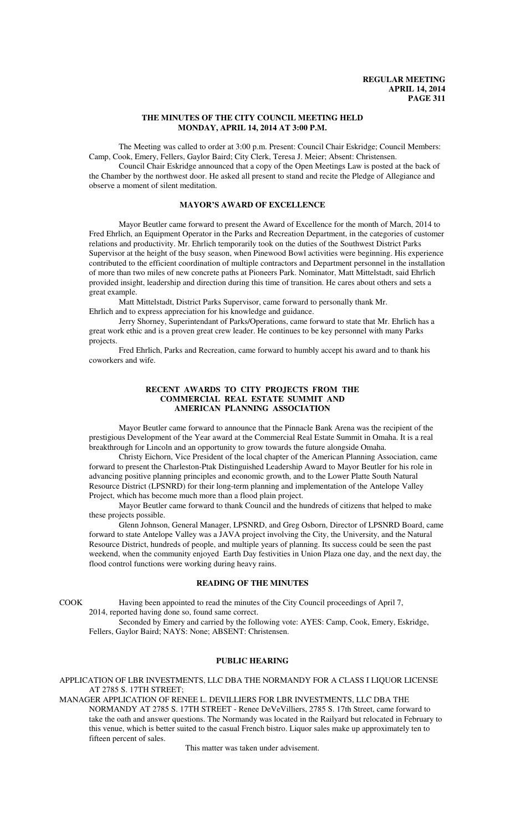# **THE MINUTES OF THE CITY COUNCIL MEETING HELD MONDAY, APRIL 14, 2014 AT 3:00 P.M.**

The Meeting was called to order at 3:00 p.m. Present: Council Chair Eskridge; Council Members: Camp, Cook, Emery, Fellers, Gaylor Baird; City Clerk, Teresa J. Meier; Absent: Christensen.

Council Chair Eskridge announced that a copy of the Open Meetings Law is posted at the back of the Chamber by the northwest door. He asked all present to stand and recite the Pledge of Allegiance and observe a moment of silent meditation.

# **MAYOR'S AWARD OF EXCELLENCE**

Mayor Beutler came forward to present the Award of Excellence for the month of March, 2014 to Fred Ehrlich, an Equipment Operator in the Parks and Recreation Department, in the categories of customer relations and productivity. Mr. Ehrlich temporarily took on the duties of the Southwest District Parks Supervisor at the height of the busy season, when Pinewood Bowl activities were beginning. His experience contributed to the efficient coordination of multiple contractors and Department personnel in the installation of more than two miles of new concrete paths at Pioneers Park. Nominator, Matt Mittelstadt, said Ehrlich provided insight, leadership and direction during this time of transition. He cares about others and sets a great example.

Matt Mittelstadt, District Parks Supervisor, came forward to personally thank Mr. Ehrlich and to express appreciation for his knowledge and guidance.

Jerry Shorney, Superintendant of Parks/Operations, came forward to state that Mr. Ehrlich has a great work ethic and is a proven great crew leader. He continues to be key personnel with many Parks projects.

Fred Ehrlich, Parks and Recreation, came forward to humbly accept his award and to thank his coworkers and wife.

## **RECENT AWARDS TO CITY PROJECTS FROM THE COMMERCIAL REAL ESTATE SUMMIT AND AMERICAN PLANNING ASSOCIATION**

Mayor Beutler came forward to announce that the Pinnacle Bank Arena was the recipient of the prestigious Development of the Year award at the Commercial Real Estate Summit in Omaha. It is a real breakthrough for Lincoln and an opportunity to grow towards the future alongside Omaha.

Christy Eichorn, Vice President of the local chapter of the American Planning Association, came forward to present the Charleston-Ptak Distinguished Leadership Award to Mayor Beutler for his role in advancing positive planning principles and economic growth, and to the Lower Platte South Natural Resource District (LPSNRD) for their long-term planning and implementation of the Antelope Valley Project, which has become much more than a flood plain project.

Mayor Beutler came forward to thank Council and the hundreds of citizens that helped to make these projects possible.

Glenn Johnson, General Manager, LPSNRD, and Greg Osborn, Director of LPSNRD Board, came forward to state Antelope Valley was a JAVA project involving the City, the University, and the Natural Resource District, hundreds of people, and multiple years of planning. Its success could be seen the past weekend, when the community enjoyed Earth Day festivities in Union Plaza one day, and the next day, the flood control functions were working during heavy rains.

# **READING OF THE MINUTES**

COOK Having been appointed to read the minutes of the City Council proceedings of April 7, 2014, reported having done so, found same correct.

Seconded by Emery and carried by the following vote: AYES: Camp, Cook, Emery, Eskridge, Fellers, Gaylor Baird; NAYS: None; ABSENT: Christensen.

# **PUBLIC HEARING**

APPLICATION OF LBR INVESTMENTS, LLC DBA THE NORMANDY FOR A CLASS I LIQUOR LICENSE AT 2785 S. 17TH STREET;

MANAGER APPLICATION OF RENEE L. DEVILLIERS FOR LBR INVESTMENTS, LLC DBA THE NORMANDY AT 2785 S. 17TH STREET - Renee DeVeVilliers, 2785 S. 17th Street, came forward to take the oath and answer questions. The Normandy was located in the Railyard but relocated in February to this venue, which is better suited to the casual French bistro. Liquor sales make up approximately ten to fifteen percent of sales.

This matter was taken under advisement.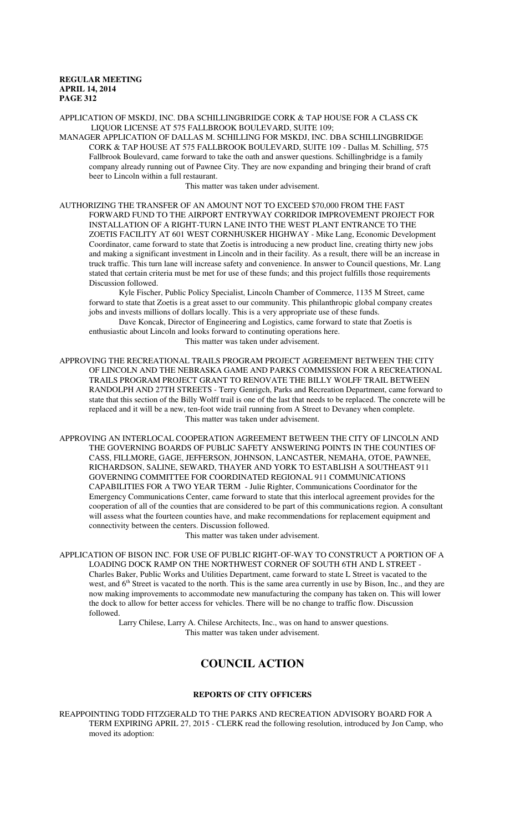APPLICATION OF MSKDJ, INC. DBA SCHILLINGBRIDGE CORK & TAP HOUSE FOR A CLASS CK LIQUOR LICENSE AT 575 FALLBROOK BOULEVARD, SUITE 109;

MANAGER APPLICATION OF DALLAS M. SCHILLING FOR MSKDJ, INC. DBA SCHILLINGBRIDGE CORK & TAP HOUSE AT 575 FALLBROOK BOULEVARD, SUITE 109 - Dallas M. Schilling, 575 Fallbrook Boulevard, came forward to take the oath and answer questions. Schillingbridge is a family company already running out of Pawnee City. They are now expanding and bringing their brand of craft beer to Lincoln within a full restaurant.

This matter was taken under advisement.

AUTHORIZING THE TRANSFER OF AN AMOUNT NOT TO EXCEED \$70,000 FROM THE FAST FORWARD FUND TO THE AIRPORT ENTRYWAY CORRIDOR IMPROVEMENT PROJECT FOR INSTALLATION OF A RIGHT-TURN LANE INTO THE WEST PLANT ENTRANCE TO THE ZOETIS FACILITY AT 601 WEST CORNHUSKER HIGHWAY - Mike Lang, Economic Development Coordinator, came forward to state that Zoetis is introducing a new product line, creating thirty new jobs and making a significant investment in Lincoln and in their facility. As a result, there will be an increase in truck traffic. This turn lane will increase safety and convenience. In answer to Council questions, Mr. Lang stated that certain criteria must be met for use of these funds; and this project fulfills those requirements Discussion followed.

Kyle Fischer, Public Policy Specialist, Lincoln Chamber of Commerce, 1135 M Street, came forward to state that Zoetis is a great asset to our community. This philanthropic global company creates jobs and invests millions of dollars locally. This is a very appropriate use of these funds.

Dave Koncak, Director of Engineering and Logistics, came forward to state that Zoetis is enthusiastic about Lincoln and looks forward to continuting operations here.

This matter was taken under advisement.

APPROVING THE RECREATIONAL TRAILS PROGRAM PROJECT AGREEMENT BETWEEN THE CITY OF LINCOLN AND THE NEBRASKA GAME AND PARKS COMMISSION FOR A RECREATIONAL TRAILS PROGRAM PROJECT GRANT TO RENOVATE THE BILLY WOLFF TRAIL BETWEEN RANDOLPH AND 27TH STREETS - Terry Genrigch, Parks and Recreation Department, came forward to state that this section of the Billy Wolff trail is one of the last that needs to be replaced. The concrete will be replaced and it will be a new, ten-foot wide trail running from A Street to Devaney when complete. This matter was taken under advisement.

APPROVING AN INTERLOCAL COOPERATION AGREEMENT BETWEEN THE CITY OF LINCOLN AND THE GOVERNING BOARDS OF PUBLIC SAFETY ANSWERING POINTS IN THE COUNTIES OF CASS, FILLMORE, GAGE, JEFFERSON, JOHNSON, LANCASTER, NEMAHA, OTOE, PAWNEE, RICHARDSON, SALINE, SEWARD, THAYER AND YORK TO ESTABLISH A SOUTHEAST 911 GOVERNING COMMITTEE FOR COORDINATED REGIONAL 911 COMMUNICATIONS CAPABILITIES FOR A TWO YEAR TERM - Julie Righter, Communications Coordinator for the Emergency Communications Center, came forward to state that this interlocal agreement provides for the cooperation of all of the counties that are considered to be part of this communications region. A consultant will assess what the fourteen counties have, and make recommendations for replacement equipment and connectivity between the centers. Discussion followed.

This matter was taken under advisement.

APPLICATION OF BISON INC. FOR USE OF PUBLIC RIGHT-OF-WAY TO CONSTRUCT A PORTION OF A LOADING DOCK RAMP ON THE NORTHWEST CORNER OF SOUTH 6TH AND L STREET - Charles Baker, Public Works and Utilities Department, came forward to state L Street is vacated to the west, and 6<sup>th</sup> Street is vacated to the north. This is the same area currently in use by Bison, Inc., and they are now making improvements to accommodate new manufacturing the company has taken on. This will lower the dock to allow for better access for vehicles. There will be no change to traffic flow. Discussion followed.

Larry Chilese, Larry A. Chilese Architects, Inc., was on hand to answer questions. This matter was taken under advisement.

# **COUNCIL ACTION**

#### **REPORTS OF CITY OFFICERS**

REAPPOINTING TODD FITZGERALD TO THE PARKS AND RECREATION ADVISORY BOARD FOR A TERM EXPIRING APRIL 27, 2015 - CLERK read the following resolution, introduced by Jon Camp, who moved its adoption: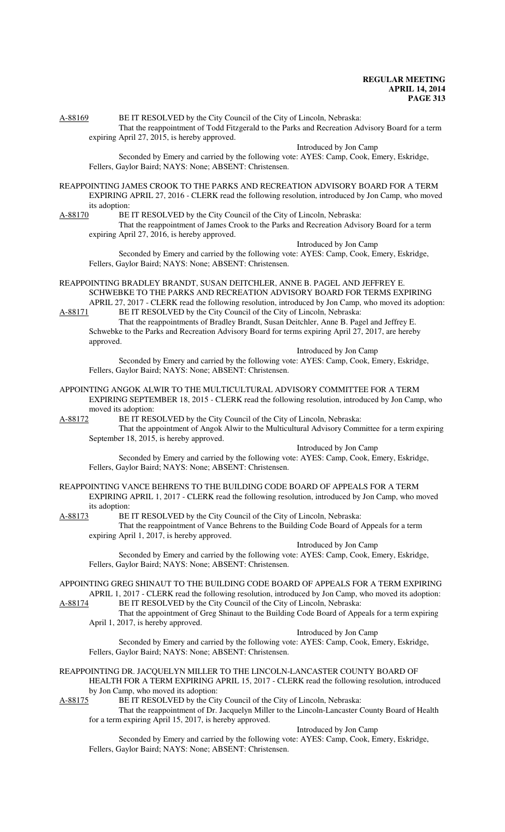A-88169 BE IT RESOLVED by the City Council of the City of Lincoln, Nebraska: That the reappointment of Todd Fitzgerald to the Parks and Recreation Advisory Board for a term

expiring April 27, 2015, is hereby approved.

Introduced by Jon Camp

Seconded by Emery and carried by the following vote: AYES: Camp, Cook, Emery, Eskridge, Fellers, Gaylor Baird; NAYS: None; ABSENT: Christensen.

- REAPPOINTING JAMES CROOK TO THE PARKS AND RECREATION ADVISORY BOARD FOR A TERM EXPIRING APRIL 27, 2016 - CLERK read the following resolution, introduced by Jon Camp, who moved its adoption:
- 
- A-88170 BE IT RESOLVED by the City Council of the City of Lincoln, Nebraska: That the reappointment of James Crook to the Parks and Recreation Advisory Board for a term

expiring April 27, 2016, is hereby approved.

Introduced by Jon Camp

Seconded by Emery and carried by the following vote: AYES: Camp, Cook, Emery, Eskridge, Fellers, Gaylor Baird; NAYS: None; ABSENT: Christensen.

- REAPPOINTING BRADLEY BRANDT, SUSAN DEITCHLER, ANNE B. PAGEL AND JEFFREY E. SCHWEBKE TO THE PARKS AND RECREATION ADVISORY BOARD FOR TERMS EXPIRING APRIL 27, 2017 - CLERK read the following resolution, introduced by Jon Camp, who moved its adoption:
- A-88171 BE IT RESOLVED by the City Council of the City of Lincoln, Nebraska: That the reappointments of Bradley Brandt, Susan Deitchler, Anne B. Pagel and Jeffrey E. Schwebke to the Parks and Recreation Advisory Board for terms expiring April 27, 2017, are hereby approved.

Introduced by Jon Camp

Seconded by Emery and carried by the following vote: AYES: Camp, Cook, Emery, Eskridge, Fellers, Gaylor Baird; NAYS: None; ABSENT: Christensen.

- APPOINTING ANGOK ALWIR TO THE MULTICULTURAL ADVISORY COMMITTEE FOR A TERM EXPIRING SEPTEMBER 18, 2015 - CLERK read the following resolution, introduced by Jon Camp, who moved its adoption:
- 

A-88172 BE IT RESOLVED by the City Council of the City of Lincoln, Nebraska: That the appointment of Angok Alwir to the Multicultural Advisory Committee for a term expiring September 18, 2015, is hereby approved.

Introduced by Jon Camp

Seconded by Emery and carried by the following vote: AYES: Camp, Cook, Emery, Eskridge, Fellers, Gaylor Baird; NAYS: None; ABSENT: Christensen.

- REAPPOINTING VANCE BEHRENS TO THE BUILDING CODE BOARD OF APPEALS FOR A TERM EXPIRING APRIL 1, 2017 - CLERK read the following resolution, introduced by Jon Camp, who moved its adoption:
- A-88173 BE IT RESOLVED by the City Council of the City of Lincoln, Nebraska: That the reappointment of Vance Behrens to the Building Code Board of Appeals for a term expiring April 1, 2017, is hereby approved.

Introduced by Jon Camp

Seconded by Emery and carried by the following vote: AYES: Camp, Cook, Emery, Eskridge, Fellers, Gaylor Baird; NAYS: None; ABSENT: Christensen.

- APPOINTING GREG SHINAUT TO THE BUILDING CODE BOARD OF APPEALS FOR A TERM EXPIRING APRIL 1, 2017 - CLERK read the following resolution, introduced by Jon Camp, who moved its adoption: A-88174 BE IT RESOLVED by the City Council of the City of Lincoln, Nebraska:
- That the appointment of Greg Shinaut to the Building Code Board of Appeals for a term expiring April 1, 2017, is hereby approved.

Introduced by Jon Camp

Seconded by Emery and carried by the following vote: AYES: Camp, Cook, Emery, Eskridge, Fellers, Gaylor Baird; NAYS: None; ABSENT: Christensen.

REAPPOINTING DR. JACQUELYN MILLER TO THE LINCOLN-LANCASTER COUNTY BOARD OF HEALTH FOR A TERM EXPIRING APRIL 15, 2017 - CLERK read the following resolution, introduced by Jon Camp, who moved its adoption:<br>A-88175 BE IT RESOLVED by the Cit

BE IT RESOLVED by the City Council of the City of Lincoln, Nebraska:

That the reappointment of Dr. Jacquelyn Miller to the Lincoln-Lancaster County Board of Health for a term expiring April 15, 2017, is hereby approved.

Introduced by Jon Camp

Seconded by Emery and carried by the following vote: AYES: Camp, Cook, Emery, Eskridge, Fellers, Gaylor Baird; NAYS: None; ABSENT: Christensen.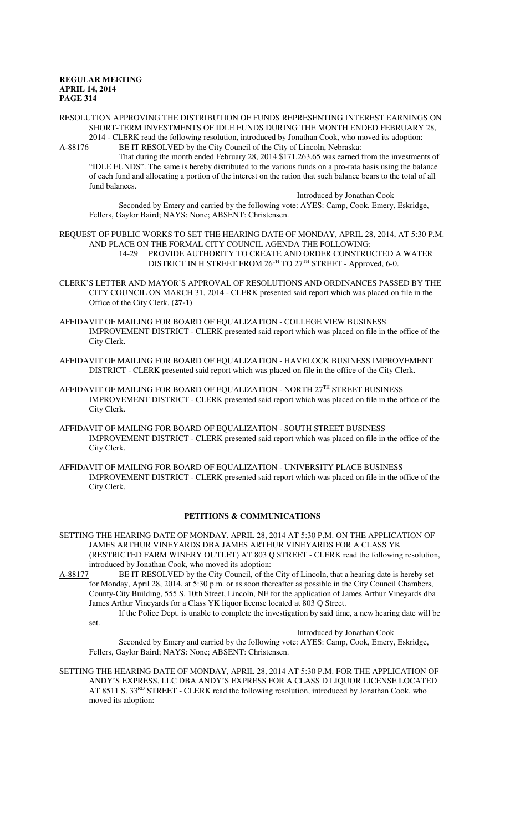fund balances.

RESOLUTION APPROVING THE DISTRIBUTION OF FUNDS REPRESENTING INTEREST EARNINGS ON SHORT-TERM INVESTMENTS OF IDLE FUNDS DURING THE MONTH ENDED FEBRUARY 28, 2014 - CLERK read the following resolution, introduced by Jonathan Cook, who moved its adoption:

A-88176 BE IT RESOLVED by the City Council of the City of Lincoln, Nebraska: That during the month ended February 28, 2014 \$171,263.65 was earned from the investments of "IDLE FUNDS". The same is hereby distributed to the various funds on a pro-rata basis using the balance of each fund and allocating a portion of the interest on the ration that such balance bears to the total of all

Introduced by Jonathan Cook Seconded by Emery and carried by the following vote: AYES: Camp, Cook, Emery, Eskridge, Fellers, Gaylor Baird; NAYS: None; ABSENT: Christensen.

REQUEST OF PUBLIC WORKS TO SET THE HEARING DATE OF MONDAY, APRIL 28, 2014, AT 5:30 P.M. AND PLACE ON THE FORMAL CITY COUNCIL AGENDA THE FOLLOWING: 14-29 PROVIDE AUTHORITY TO CREATE AND ORDER CONSTRUCTED A WATER DISTRICT IN H STREET FROM 26TH TO 27TH STREET - Approved, 6-0.

- CLERK'S LETTER AND MAYOR'S APPROVAL OF RESOLUTIONS AND ORDINANCES PASSED BY THE CITY COUNCIL ON MARCH 31, 2014 - CLERK presented said report which was placed on file in the Office of the City Clerk. **(27-1)**
- AFFIDAVIT OF MAILING FOR BOARD OF EQUALIZATION COLLEGE VIEW BUSINESS IMPROVEMENT DISTRICT - CLERK presented said report which was placed on file in the office of the City Clerk.
- AFFIDAVIT OF MAILING FOR BOARD OF EQUALIZATION HAVELOCK BUSINESS IMPROVEMENT DISTRICT - CLERK presented said report which was placed on file in the office of the City Clerk.
- AFFIDAVIT OF MAILING FOR BOARD OF EQUALIZATION NORTH 27TH STREET BUSINESS IMPROVEMENT DISTRICT - CLERK presented said report which was placed on file in the office of the City Clerk.
- AFFIDAVIT OF MAILING FOR BOARD OF EQUALIZATION SOUTH STREET BUSINESS IMPROVEMENT DISTRICT - CLERK presented said report which was placed on file in the office of the City Clerk.
- AFFIDAVIT OF MAILING FOR BOARD OF EQUALIZATION UNIVERSITY PLACE BUSINESS IMPROVEMENT DISTRICT - CLERK presented said report which was placed on file in the office of the City Clerk.

# **PETITIONS & COMMUNICATIONS**

- SETTING THE HEARING DATE OF MONDAY, APRIL 28, 2014 AT 5:30 P.M. ON THE APPLICATION OF JAMES ARTHUR VINEYARDS DBA JAMES ARTHUR VINEYARDS FOR A CLASS YK (RESTRICTED FARM WINERY OUTLET) AT 803 Q STREET - CLERK read the following resolution, introduced by Jonathan Cook, who moved its adoption:
- A-88177 BE IT RESOLVED by the City Council, of the City of Lincoln, that a hearing date is hereby set for Monday, April 28, 2014, at 5:30 p.m. or as soon thereafter as possible in the City Council Chambers, County-City Building, 555 S. 10th Street, Lincoln, NE for the application of James Arthur Vineyards dba James Arthur Vineyards for a Class YK liquor license located at 803 Q Street.

If the Police Dept. is unable to complete the investigation by said time, a new hearing date will be set.

Introduced by Jonathan Cook

Seconded by Emery and carried by the following vote: AYES: Camp, Cook, Emery, Eskridge, Fellers, Gaylor Baird; NAYS: None; ABSENT: Christensen.

SETTING THE HEARING DATE OF MONDAY, APRIL 28, 2014 AT 5:30 P.M. FOR THE APPLICATION OF ANDY'S EXPRESS, LLC DBA ANDY'S EXPRESS FOR A CLASS D LIQUOR LICENSE LOCATED AT 8511 S. 33<sup>RD</sup> STREET - CLERK read the following resolution, introduced by Jonathan Cook, who moved its adoption: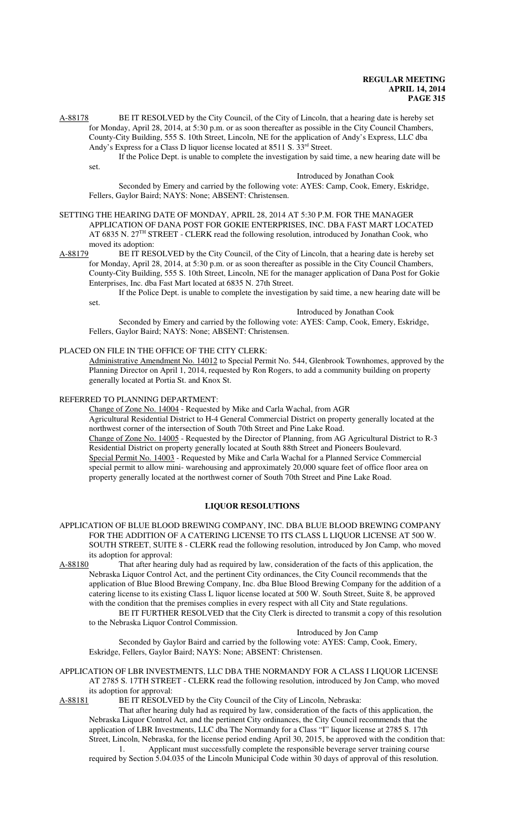A-88178 BE IT RESOLVED by the City Council, of the City of Lincoln, that a hearing date is hereby set for Monday, April 28, 2014, at 5:30 p.m. or as soon thereafter as possible in the City Council Chambers, County-City Building, 555 S. 10th Street, Lincoln, NE for the application of Andy's Express, LLC dba Andy's Express for a Class D liquor license located at 8511 S. 33rd Street.

If the Police Dept. is unable to complete the investigation by said time, a new hearing date will be set.

# Introduced by Jonathan Cook

Seconded by Emery and carried by the following vote: AYES: Camp, Cook, Emery, Eskridge, Fellers, Gaylor Baird; NAYS: None; ABSENT: Christensen.

#### SETTING THE HEARING DATE OF MONDAY, APRIL 28, 2014 AT 5:30 P.M. FOR THE MANAGER APPLICATION OF DANA POST FOR GOKIE ENTERPRISES, INC. DBA FAST MART LOCATED AT 6835 N. 27<sup>TH</sup> STREET - CLERK read the following resolution, introduced by Jonathan Cook, who moved its adoption:

A-88179 BE IT RESOLVED by the City Council, of the City of Lincoln, that a hearing date is hereby set for Monday, April 28, 2014, at 5:30 p.m. or as soon thereafter as possible in the City Council Chambers, County-City Building, 555 S. 10th Street, Lincoln, NE for the manager application of Dana Post for Gokie Enterprises, Inc. dba Fast Mart located at 6835 N. 27th Street.

If the Police Dept. is unable to complete the investigation by said time, a new hearing date will be set.

Introduced by Jonathan Cook

Seconded by Emery and carried by the following vote: AYES: Camp, Cook, Emery, Eskridge, Fellers, Gaylor Baird; NAYS: None; ABSENT: Christensen.

#### PLACED ON FILE IN THE OFFICE OF THE CITY CLERK:

Administrative Amendment No. 14012 to Special Permit No. 544, Glenbrook Townhomes, approved by the Planning Director on April 1, 2014, requested by Ron Rogers, to add a community building on property generally located at Portia St. and Knox St.

#### REFERRED TO PLANNING DEPARTMENT:

Change of Zone No. 14004 - Requested by Mike and Carla Wachal, from AGR

Agricultural Residential District to H-4 General Commercial District on property generally located at the northwest corner of the intersection of South 70th Street and Pine Lake Road.

Change of Zone No. 14005 - Requested by the Director of Planning, from AG Agricultural District to R-3 Residential District on property generally located at South 88th Street and Pioneers Boulevard. Special Permit No. 14003 - Requested by Mike and Carla Wachal for a Planned Service Commercial special permit to allow mini- warehousing and approximately 20,000 square feet of office floor area on property generally located at the northwest corner of South 70th Street and Pine Lake Road.

# **LIQUOR RESOLUTIONS**

# APPLICATION OF BLUE BLOOD BREWING COMPANY, INC. DBA BLUE BLOOD BREWING COMPANY FOR THE ADDITION OF A CATERING LICENSE TO ITS CLASS L LIQUOR LICENSE AT 500 W. SOUTH STREET, SUITE 8 - CLERK read the following resolution, introduced by Jon Camp, who moved its adoption for approval:

A-88180 That after hearing duly had as required by law, consideration of the facts of this application, the Nebraska Liquor Control Act, and the pertinent City ordinances, the City Council recommends that the application of Blue Blood Brewing Company, Inc. dba Blue Blood Brewing Company for the addition of a catering license to its existing Class L liquor license located at 500 W. South Street, Suite 8, be approved with the condition that the premises complies in every respect with all City and State regulations.

BE IT FURTHER RESOLVED that the City Clerk is directed to transmit a copy of this resolution to the Nebraska Liquor Control Commission.

Introduced by Jon Camp

Seconded by Gaylor Baird and carried by the following vote: AYES: Camp, Cook, Emery, Eskridge, Fellers, Gaylor Baird; NAYS: None; ABSENT: Christensen.

APPLICATION OF LBR INVESTMENTS, LLC DBA THE NORMANDY FOR A CLASS I LIQUOR LICENSE AT 2785 S. 17TH STREET - CLERK read the following resolution, introduced by Jon Camp, who moved its adoption for approval:<br>A-88181 BE IT RESOLV.

BE IT RESOLVED by the City Council of the City of Lincoln, Nebraska:

That after hearing duly had as required by law, consideration of the facts of this application, the Nebraska Liquor Control Act, and the pertinent City ordinances, the City Council recommends that the application of LBR Investments, LLC dba The Normandy for a Class "I" liquor license at 2785 S. 17th Street, Lincoln, Nebraska, for the license period ending April 30, 2015, be approved with the condition that: 1. Applicant must successfully complete the responsible beverage server training course

required by Section 5.04.035 of the Lincoln Municipal Code within 30 days of approval of this resolution.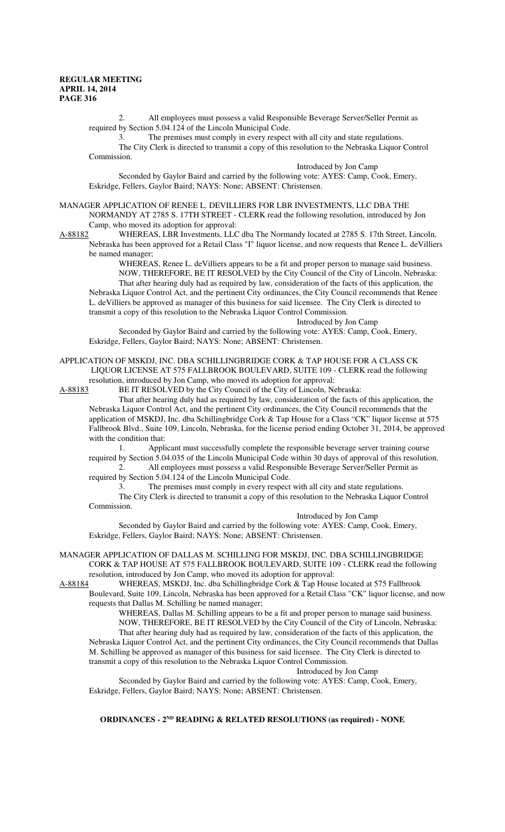2. All employees must possess a valid Responsible Beverage Server/Seller Permit as required by Section 5.04.124 of the Lincoln Municipal Code.

3. The premises must comply in every respect with all city and state regulations. The City Clerk is directed to transmit a copy of this resolution to the Nebraska Liquor Control Commission.

Introduced by Jon Camp

Seconded by Gaylor Baird and carried by the following vote: AYES: Camp, Cook, Emery, Eskridge, Fellers, Gaylor Baird; NAYS: None; ABSENT: Christensen.

MANAGER APPLICATION OF RENEE L. DEVILLIERS FOR LBR INVESTMENTS, LLC DBA THE NORMANDY AT 2785 S. 17TH STREET - CLERK read the following resolution, introduced by Jon

Camp, who moved its adoption for approval:<br>A-88182 WHEREAS, LBR Investments, LLC WHEREAS, LBR Investments, LLC dba The Normandy located at 2785 S. 17th Street, Lincoln, Nebraska has been approved for a Retail Class "I" liquor license, and now requests that Renee L. deVilliers be named manager;

> WHEREAS, Renee L. deVilliers appears to be a fit and proper person to manage said business. NOW, THEREFORE, BE IT RESOLVED by the City Council of the City of Lincoln, Nebraska: That after hearing duly had as required by law, consideration of the facts of this application, the

Nebraska Liquor Control Act, and the pertinent City ordinances, the City Council recommends that Renee L. deVilliers be approved as manager of this business for said licensee. The City Clerk is directed to transmit a copy of this resolution to the Nebraska Liquor Control Commission.

Introduced by Jon Camp

Seconded by Gaylor Baird and carried by the following vote: AYES: Camp, Cook, Emery, Eskridge, Fellers, Gaylor Baird; NAYS: None; ABSENT: Christensen.

APPLICATION OF MSKDJ, INC. DBA SCHILLINGBRIDGE CORK & TAP HOUSE FOR A CLASS CK LIQUOR LICENSE AT 575 FALLBROOK BOULEVARD, SUITE 109 - CLERK read the following resolution, introduced by Jon Camp, who moved its adoption for approval:

A-88183 BE IT RESOLVED by the City Council of the City of Lincoln, Nebraska:

That after hearing duly had as required by law, consideration of the facts of this application, the Nebraska Liquor Control Act, and the pertinent City ordinances, the City Council recommends that the application of MSKDJ, Inc. dba Schillingbridge Cork & Tap House for a Class "CK" liquor license at 575 Fallbrook Blvd., Suite 109, Lincoln, Nebraska, for the license period ending October 31, 2014, be approved with the condition that:

1. Applicant must successfully complete the responsible beverage server training course required by Section 5.04.035 of the Lincoln Municipal Code within 30 days of approval of this resolution.

2. All employees must possess a valid Responsible Beverage Server/Seller Permit as required by Section 5.04.124 of the Lincoln Municipal Code.

3. The premises must comply in every respect with all city and state regulations. The City Clerk is directed to transmit a copy of this resolution to the Nebraska Liquor Control Commission.

Introduced by Jon Camp

Seconded by Gaylor Baird and carried by the following vote: AYES: Camp, Cook, Emery, Eskridge, Fellers, Gaylor Baird; NAYS: None; ABSENT: Christensen.

MANAGER APPLICATION OF DALLAS M. SCHILLING FOR MSKDJ, INC. DBA SCHILLINGBRIDGE CORK & TAP HOUSE AT 575 FALLBROOK BOULEVARD, SUITE 109 - CLERK read the following resolution, introduced by Jon Camp, who moved its adoption for approval:

A-88184 WHEREAS, MSKDJ, Inc. dba Schillingbridge Cork & Tap House located at 575 Fallbrook Boulevard, Suite 109, Lincoln, Nebraska has been approved for a Retail Class "CK" liquor license, and now requests that Dallas M. Schilling be named manager;

WHEREAS, Dallas M. Schilling appears to be a fit and proper person to manage said business. NOW, THEREFORE, BE IT RESOLVED by the City Council of the City of Lincoln, Nebraska: That after hearing duly had as required by law, consideration of the facts of this application, the Nebraska Liquor Control Act, and the pertinent City ordinances, the City Council recommends that Dallas M. Schilling be approved as manager of this business for said licensee. The City Clerk is directed to transmit a copy of this resolution to the Nebraska Liquor Control Commission.

Introduced by Jon Camp

Seconded by Gaylor Baird and carried by the following vote: AYES: Camp, Cook, Emery, Eskridge, Fellers, Gaylor Baird; NAYS: None; ABSENT: Christensen.

**ORDINANCES - 2<sup>ND</sup> READING & RELATED RESOLUTIONS (as required) - NONE**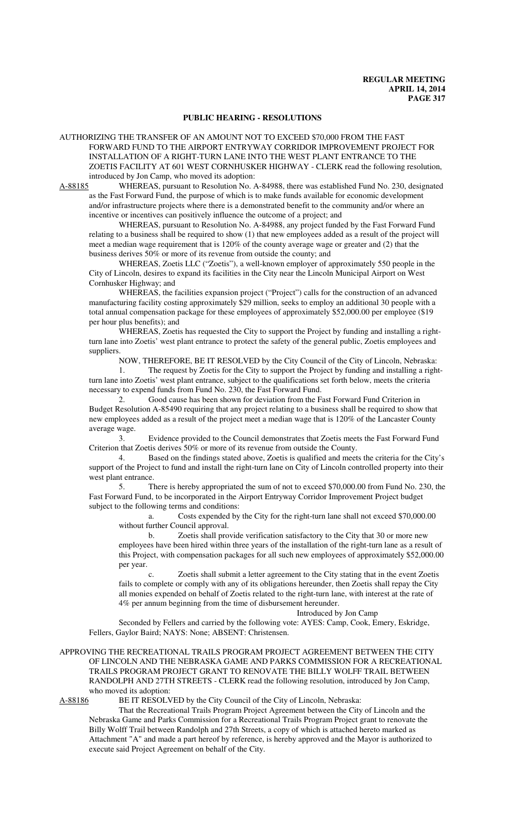# **PUBLIC HEARING - RESOLUTIONS**

AUTHORIZING THE TRANSFER OF AN AMOUNT NOT TO EXCEED \$70,000 FROM THE FAST FORWARD FUND TO THE AIRPORT ENTRYWAY CORRIDOR IMPROVEMENT PROJECT FOR INSTALLATION OF A RIGHT-TURN LANE INTO THE WEST PLANT ENTRANCE TO THE ZOETIS FACILITY AT 601 WEST CORNHUSKER HIGHWAY - CLERK read the following resolution, introduced by Jon Camp, who moved its adoption:<br>A-88185 WHEREAS, pursuant to Resolution No. A

WHEREAS, pursuant to Resolution No. A-84988, there was established Fund No. 230, designated as the Fast Forward Fund, the purpose of which is to make funds available for economic development and/or infrastructure projects where there is a demonstrated benefit to the community and/or where an incentive or incentives can positively influence the outcome of a project; and

WHEREAS, pursuant to Resolution No. A-84988, any project funded by the Fast Forward Fund relating to a business shall be required to show (1) that new employees added as a result of the project will meet a median wage requirement that is 120% of the county average wage or greater and (2) that the business derives 50% or more of its revenue from outside the county; and

WHEREAS, Zoetis LLC ("Zoetis"), a well-known employer of approximately 550 people in the City of Lincoln, desires to expand its facilities in the City near the Lincoln Municipal Airport on West Cornhusker Highway; and

WHEREAS, the facilities expansion project ("Project") calls for the construction of an advanced manufacturing facility costing approximately \$29 million, seeks to employ an additional 30 people with a total annual compensation package for these employees of approximately \$52,000.00 per employee (\$19 per hour plus benefits); and

WHEREAS, Zoetis has requested the City to support the Project by funding and installing a rightturn lane into Zoetis' west plant entrance to protect the safety of the general public, Zoetis employees and suppliers.

NOW, THEREFORE, BE IT RESOLVED by the City Council of the City of Lincoln, Nebraska: 1. The request by Zoetis for the City to support the Project by funding and installing a rightturn lane into Zoetis' west plant entrance, subject to the qualifications set forth below, meets the criteria necessary to expend funds from Fund No. 230, the Fast Forward Fund.

2. Good cause has been shown for deviation from the Fast Forward Fund Criterion in Budget Resolution A-85490 requiring that any project relating to a business shall be required to show that new employees added as a result of the project meet a median wage that is 120% of the Lancaster County average wage.

3. Evidence provided to the Council demonstrates that Zoetis meets the Fast Forward Fund Criterion that Zoetis derives 50% or more of its revenue from outside the County.

4. Based on the findings stated above, Zoetis is qualified and meets the criteria for the City's support of the Project to fund and install the right-turn lane on City of Lincoln controlled property into their west plant entrance.

5. There is hereby appropriated the sum of not to exceed \$70,000.00 from Fund No. 230, the Fast Forward Fund, to be incorporated in the Airport Entryway Corridor Improvement Project budget subject to the following terms and conditions:

a. Costs expended by the City for the right-turn lane shall not exceed \$70,000.00 without further Council approval.

b. Zoetis shall provide verification satisfactory to the City that 30 or more new employees have been hired within three years of the installation of the right-turn lane as a result of this Project, with compensation packages for all such new employees of approximately \$52,000.00 per year.

c. Zoetis shall submit a letter agreement to the City stating that in the event Zoetis fails to complete or comply with any of its obligations hereunder, then Zoetis shall repay the City all monies expended on behalf of Zoetis related to the right-turn lane, with interest at the rate of 4% per annum beginning from the time of disbursement hereunder.

#### Introduced by Jon Camp

Seconded by Fellers and carried by the following vote: AYES: Camp, Cook, Emery, Eskridge, Fellers, Gaylor Baird; NAYS: None; ABSENT: Christensen.

APPROVING THE RECREATIONAL TRAILS PROGRAM PROJECT AGREEMENT BETWEEN THE CITY OF LINCOLN AND THE NEBRASKA GAME AND PARKS COMMISSION FOR A RECREATIONAL TRAILS PROGRAM PROJECT GRANT TO RENOVATE THE BILLY WOLFF TRAIL BETWEEN RANDOLPH AND 27TH STREETS - CLERK read the following resolution, introduced by Jon Camp, who moved its adoption:<br>A-88186 BE IT RESOLV

BE IT RESOLVED by the City Council of the City of Lincoln, Nebraska:

That the Recreational Trails Program Project Agreement between the City of Lincoln and the Nebraska Game and Parks Commission for a Recreational Trails Program Project grant to renovate the Billy Wolff Trail between Randolph and 27th Streets, a copy of which is attached hereto marked as Attachment "A" and made a part hereof by reference, is hereby approved and the Mayor is authorized to execute said Project Agreement on behalf of the City.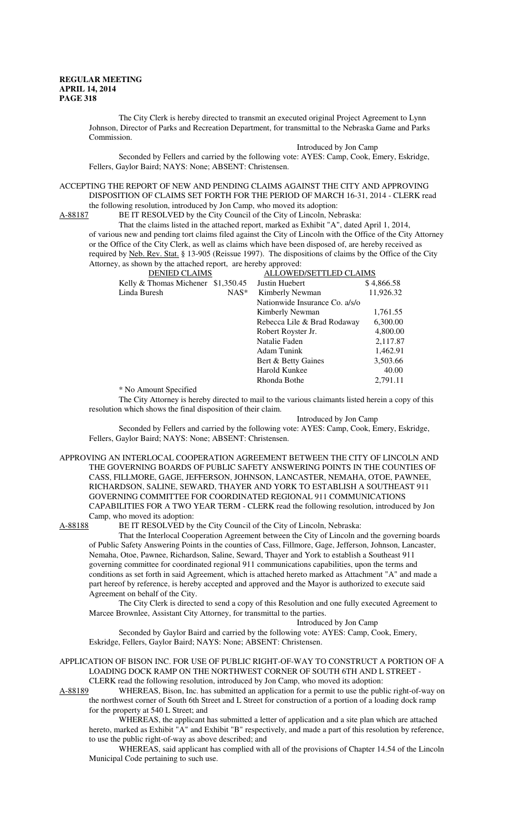The City Clerk is hereby directed to transmit an executed original Project Agreement to Lynn Johnson, Director of Parks and Recreation Department, for transmittal to the Nebraska Game and Parks Commission.

Introduced by Jon Camp

Seconded by Fellers and carried by the following vote: AYES: Camp, Cook, Emery, Eskridge, Fellers, Gaylor Baird; NAYS: None; ABSENT: Christensen.

ACCEPTING THE REPORT OF NEW AND PENDING CLAIMS AGAINST THE CITY AND APPROVING DISPOSITION OF CLAIMS SET FORTH FOR THE PERIOD OF MARCH 16-31, 2014 - CLERK read the following resolution, introduced by Jon Camp, who moved its adoption:

A-88187 BE IT RESOLVED by the City Council of the City of Lincoln, Nebraska:

That the claims listed in the attached report, marked as Exhibit "A", dated April 1, 2014, of various new and pending tort claims filed against the City of Lincoln with the Office of the City Attorney or the Office of the City Clerk, as well as claims which have been disposed of, are hereby received as required by Neb. Rev. Stat. § 13-905 (Reissue 1997). The dispositions of claims by the Office of the City Attorney, as shown by the attached report, are hereby approved:

|                                     | <b>DENIED CLAIMS</b> |                                | ALLOWED/SETTLED CLAIMS |  |
|-------------------------------------|----------------------|--------------------------------|------------------------|--|
| Kelly & Thomas Michener $$1,350.45$ |                      | Justin Huebert                 | \$4,866.58             |  |
| Linda Buresh                        | $NAS^*$              | Kimberly Newman                | 11,926.32              |  |
|                                     |                      | Nationwide Insurance Co. a/s/o |                        |  |
|                                     |                      | Kimberly Newman                | 1,761.55               |  |
|                                     |                      | Rebecca Lile & Brad Rodaway    | 6,300.00               |  |
|                                     |                      | Robert Royster Jr.             | 4,800.00               |  |
|                                     |                      | Natalie Faden                  | 2,117.87               |  |
|                                     |                      | Adam Tunink                    | 1,462.91               |  |
|                                     |                      | Bert & Betty Gaines            | 3,503.66               |  |
|                                     |                      | Harold Kunkee                  | 40.00                  |  |
|                                     |                      | Rhonda Bothe                   | 2.791.11               |  |

\* No Amount Specified

The City Attorney is hereby directed to mail to the various claimants listed herein a copy of this resolution which shows the final disposition of their claim.

Introduced by Jon Camp

Seconded by Fellers and carried by the following vote: AYES: Camp, Cook, Emery, Eskridge, Fellers, Gaylor Baird; NAYS: None; ABSENT: Christensen.

APPROVING AN INTERLOCAL COOPERATION AGREEMENT BETWEEN THE CITY OF LINCOLN AND THE GOVERNING BOARDS OF PUBLIC SAFETY ANSWERING POINTS IN THE COUNTIES OF CASS, FILLMORE, GAGE, JEFFERSON, JOHNSON, LANCASTER, NEMAHA, OTOE, PAWNEE, RICHARDSON, SALINE, SEWARD, THAYER AND YORK TO ESTABLISH A SOUTHEAST 911 GOVERNING COMMITTEE FOR COORDINATED REGIONAL 911 COMMUNICATIONS CAPABILITIES FOR A TWO YEAR TERM - CLERK read the following resolution, introduced by Jon Camp, who moved its adoption:

A-88188 BE IT RESOLVED by the City Council of the City of Lincoln, Nebraska:

That the Interlocal Cooperation Agreement between the City of Lincoln and the governing boards of Public Safety Answering Points in the counties of Cass, Fillmore, Gage, Jefferson, Johnson, Lancaster, Nemaha, Otoe, Pawnee, Richardson, Saline, Seward, Thayer and York to establish a Southeast 911 governing committee for coordinated regional 911 communications capabilities, upon the terms and conditions as set forth in said Agreement, which is attached hereto marked as Attachment "A" and made a part hereof by reference, is hereby accepted and approved and the Mayor is authorized to execute said Agreement on behalf of the City.

The City Clerk is directed to send a copy of this Resolution and one fully executed Agreement to Marcee Brownlee, Assistant City Attorney, for transmittal to the parties.

Introduced by Jon Camp

Seconded by Gaylor Baird and carried by the following vote: AYES: Camp, Cook, Emery, Eskridge, Fellers, Gaylor Baird; NAYS: None; ABSENT: Christensen.

# APPLICATION OF BISON INC. FOR USE OF PUBLIC RIGHT-OF-WAY TO CONSTRUCT A PORTION OF A LOADING DOCK RAMP ON THE NORTHWEST CORNER OF SOUTH 6TH AND L STREET -

CLERK read the following resolution, introduced by Jon Camp, who moved its adoption:<br>A-88189 WHEREAS, Bison, Inc. has submitted an application for a permit to use the publ WHEREAS, Bison, Inc. has submitted an application for a permit to use the public right-of-way on the northwest corner of South 6th Street and L Street for construction of a portion of a loading dock ramp

for the property at 540 L Street; and

WHEREAS, the applicant has submitted a letter of application and a site plan which are attached hereto, marked as Exhibit "A" and Exhibit "B" respectively, and made a part of this resolution by reference, to use the public right-of-way as above described; and

WHEREAS, said applicant has complied with all of the provisions of Chapter 14.54 of the Lincoln Municipal Code pertaining to such use.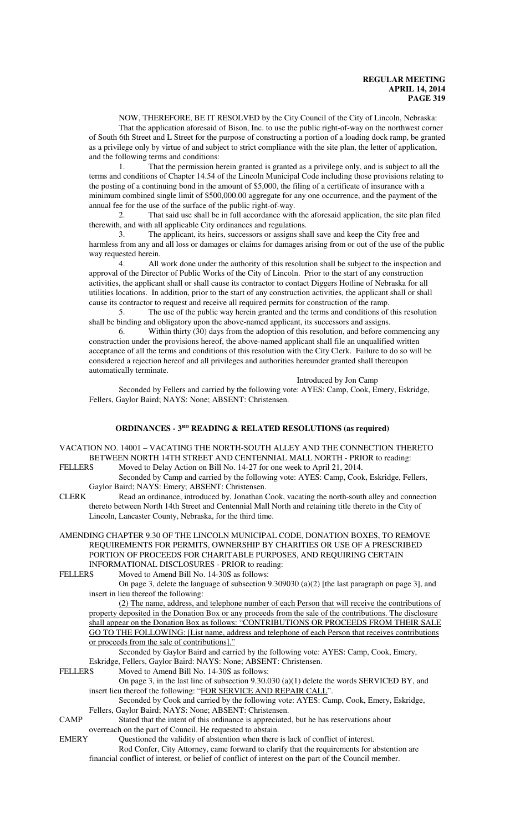NOW, THEREFORE, BE IT RESOLVED by the City Council of the City of Lincoln, Nebraska: That the application aforesaid of Bison, Inc. to use the public right-of-way on the northwest corner of South 6th Street and L Street for the purpose of constructing a portion of a loading dock ramp, be granted as a privilege only by virtue of and subject to strict compliance with the site plan, the letter of application, and the following terms and conditions:

1. That the permission herein granted is granted as a privilege only, and is subject to all the terms and conditions of Chapter 14.54 of the Lincoln Municipal Code including those provisions relating to the posting of a continuing bond in the amount of \$5,000, the filing of a certificate of insurance with a minimum combined single limit of \$500,000.00 aggregate for any one occurrence, and the payment of the annual fee for the use of the surface of the public right-of-way.

2. That said use shall be in full accordance with the aforesaid application, the site plan filed therewith, and with all applicable City ordinances and regulations.

3. The applicant, its heirs, successors or assigns shall save and keep the City free and harmless from any and all loss or damages or claims for damages arising from or out of the use of the public way requested herein.

4. All work done under the authority of this resolution shall be subject to the inspection and approval of the Director of Public Works of the City of Lincoln. Prior to the start of any construction activities, the applicant shall or shall cause its contractor to contact Diggers Hotline of Nebraska for all utilities locations. In addition, prior to the start of any construction activities, the applicant shall or shall cause its contractor to request and receive all required permits for construction of the ramp.

5. The use of the public way herein granted and the terms and conditions of this resolution shall be binding and obligatory upon the above-named applicant, its successors and assigns.

6. Within thirty (30) days from the adoption of this resolution, and before commencing any construction under the provisions hereof, the above-named applicant shall file an unqualified written acceptance of all the terms and conditions of this resolution with the City Clerk. Failure to do so will be considered a rejection hereof and all privileges and authorities hereunder granted shall thereupon automatically terminate.

Introduced by Jon Camp

Seconded by Fellers and carried by the following vote: AYES: Camp, Cook, Emery, Eskridge, Fellers, Gaylor Baird; NAYS: None; ABSENT: Christensen.

# **ORDINANCES - 3RD READING & RELATED RESOLUTIONS (as required)**

VACATION NO. 14001 – VACATING THE NORTH-SOUTH ALLEY AND THE CONNECTION THERETO BETWEEN NORTH 14TH STREET AND CENTENNIAL MALL NORTH - PRIOR to reading:

FELLERS Moved to Delay Action on Bill No. 14-27 for one week to April 21, 2014. Seconded by Camp and carried by the following vote: AYES: Camp, Cook, Eskridge, Fellers, Gaylor Baird; NAYS: Emery; ABSENT: Christensen.

CLERK Read an ordinance, introduced by, Jonathan Cook, vacating the north-south alley and connection thereto between North 14th Street and Centennial Mall North and retaining title thereto in the City of Lincoln, Lancaster County, Nebraska, for the third time.

AMENDING CHAPTER 9.30 OF THE LINCOLN MUNICIPAL CODE, DONATION BOXES, TO REMOVE REQUIREMENTS FOR PERMITS, OWNERSHIP BY CHARITIES OR USE OF A PRESCRIBED PORTION OF PROCEEDS FOR CHARITABLE PURPOSES, AND REQUIRING CERTAIN

INFORMATIONAL DISCLOSURES - PRIOR to reading:<br>FELLERS Moved to Amend Bill No. 14-30S as follows: Moved to Amend Bill No. 14-30S as follows:

On page 3, delete the language of subsection 9.309030 (a)(2) [the last paragraph on page 3], and insert in lieu thereof the following:

(2) The name, address, and telephone number of each Person that will receive the contributions of property deposited in the Donation Box or any proceeds from the sale of the contributions. The disclosure shall appear on the Donation Box as follows: "CONTRIBUTIONS OR PROCEEDS FROM THEIR SALE GO TO THE FOLLOWING: [List name, address and telephone of each Person that receives contributions or proceeds from the sale of contributions]."

Seconded by Gaylor Baird and carried by the following vote: AYES: Camp, Cook, Emery, Eskridge, Fellers, Gaylor Baird: NAYS: None; ABSENT: Christensen.

FELLERS Moved to Amend Bill No. 14-30S as follows:

On page 3, in the last line of subsection 9.30.030 (a)(1) delete the words SERVICED BY, and insert lieu thereof the following: "FOR SERVICE AND REPAIR CALL".

Seconded by Cook and carried by the following vote: AYES: Camp, Cook, Emery, Eskridge, Fellers, Gaylor Baird; NAYS: None; ABSENT: Christensen.

CAMP Stated that the intent of this ordinance is appreciated, but he has reservations about overreach on the part of Council. He requested to abstain.

EMERY Questioned the validity of abstention when there is lack of conflict of interest.

Rod Confer, City Attorney, came forward to clarify that the requirements for abstention are financial conflict of interest, or belief of conflict of interest on the part of the Council member.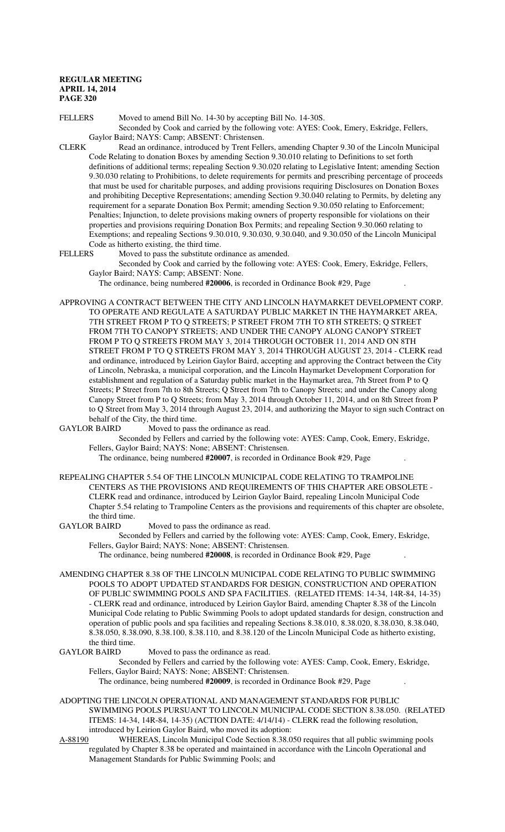FELLERS Moved to amend Bill No. 14-30 by accepting Bill No. 14-30S. Seconded by Cook and carried by the following vote: AYES: Cook, Emery, Eskridge, Fellers, Gaylor Baird; NAYS: Camp; ABSENT: Christensen.

- CLERK Read an ordinance, introduced by Trent Fellers, amending Chapter 9.30 of the Lincoln Municipal Code Relating to donation Boxes by amending Section 9.30.010 relating to Definitions to set forth definitions of additional terms; repealing Section 9.30.020 relating to Legislative Intent; amending Section 9.30.030 relating to Prohibitions, to delete requirements for permits and prescribing percentage of proceeds that must be used for charitable purposes, and adding provisions requiring Disclosures on Donation Boxes and prohibiting Deceptive Representations; amending Section 9.30.040 relating to Permits, by deleting any requirement for a separate Donation Box Permit; amending Section 9.30.050 relating to Enforcement; Penalties; Injunction, to delete provisions making owners of property responsible for violations on their properties and provisions requiring Donation Box Permits; and repealing Section 9.30.060 relating to Exemptions; and repealing Sections 9.30.010, 9.30.030, 9.30.040, and 9.30.050 of the Lincoln Municipal Code as hitherto existing, the third time.
- FELLERS Moved to pass the substitute ordinance as amended.

Seconded by Cook and carried by the following vote: AYES: Cook, Emery, Eskridge, Fellers, Gaylor Baird; NAYS: Camp; ABSENT: None.

The ordinance, being numbered **#20006**, is recorded in Ordinance Book #29, Page .

APPROVING A CONTRACT BETWEEN THE CITY AND LINCOLN HAYMARKET DEVELOPMENT CORP. TO OPERATE AND REGULATE A SATURDAY PUBLIC MARKET IN THE HAYMARKET AREA, 7TH STREET FROM P TO Q STREETS; P STREET FROM 7TH TO 8TH STREETS; Q STREET FROM 7TH TO CANOPY STREETS; AND UNDER THE CANOPY ALONG CANOPY STREET FROM P TO Q STREETS FROM MAY 3, 2014 THROUGH OCTOBER 11, 2014 AND ON 8TH STREET FROM P TO Q STREETS FROM MAY 3, 2014 THROUGH AUGUST 23, 2014 - CLERK read and ordinance, introduced by Leirion Gaylor Baird, accepting and approving the Contract between the City of Lincoln, Nebraska, a municipal corporation, and the Lincoln Haymarket Development Corporation for establishment and regulation of a Saturday public market in the Haymarket area, 7th Street from P to Q Streets; P Street from 7th to 8th Streets; Q Street from 7th to Canopy Streets; and under the Canopy along Canopy Street from P to Q Streets; from May 3, 2014 through October 11, 2014, and on 8th Street from P to Q Street from May 3, 2014 through August 23, 2014, and authorizing the Mayor to sign such Contract on behalf of the City, the third time.<br>GAYLOR BAIRD Moved to pass

Moved to pass the ordinance as read.

Seconded by Fellers and carried by the following vote: AYES: Camp, Cook, Emery, Eskridge, Fellers, Gaylor Baird; NAYS: None; ABSENT: Christensen.

The ordinance, being numbered **#20007**, is recorded in Ordinance Book #29, Page .

REPEALING CHAPTER 5.54 OF THE LINCOLN MUNICIPAL CODE RELATING TO TRAMPOLINE CENTERS AS THE PROVISIONS AND REQUIREMENTS OF THIS CHAPTER ARE OBSOLETE - CLERK read and ordinance, introduced by Leirion Gaylor Baird, repealing Lincoln Municipal Code Chapter 5.54 relating to Trampoline Centers as the provisions and requirements of this chapter are obsolete, the third time.

#### GAYLOR BAIRD Moved to pass the ordinance as read.

Seconded by Fellers and carried by the following vote: AYES: Camp, Cook, Emery, Eskridge, Fellers, Gaylor Baird; NAYS: None; ABSENT: Christensen.

The ordinance, being numbered **#20008**, is recorded in Ordinance Book #29, Page .

- AMENDING CHAPTER 8.38 OF THE LINCOLN MUNICIPAL CODE RELATING TO PUBLIC SWIMMING POOLS TO ADOPT UPDATED STANDARDS FOR DESIGN, CONSTRUCTION AND OPERATION OF PUBLIC SWIMMING POOLS AND SPA FACILITIES. (RELATED ITEMS: 14-34, 14R-84, 14-35) - CLERK read and ordinance, introduced by Leirion Gaylor Baird, amending Chapter 8.38 of the Lincoln Municipal Code relating to Public Swimming Pools to adopt updated standards for design, construction and operation of public pools and spa facilities and repealing Sections 8.38.010, 8.38.020, 8.38.030, 8.38.040, 8.38.050, 8.38.090, 8.38.100, 8.38.110, and 8.38.120 of the Lincoln Municipal Code as hitherto existing, the third time.
- GAYLOR BAIRD Moved to pass the ordinance as read.

Seconded by Fellers and carried by the following vote: AYES: Camp, Cook, Emery, Eskridge, Fellers, Gaylor Baird; NAYS: None; ABSENT: Christensen.

The ordinance, being numbered **#20009**, is recorded in Ordinance Book #29, Page .

- ADOPTING THE LINCOLN OPERATIONAL AND MANAGEMENT STANDARDS FOR PUBLIC SWIMMING POOLS PURSUANT TO LINCOLN MUNICIPAL CODE SECTION 8.38.050. (RELATED ITEMS: 14-34, 14R-84, 14-35) (ACTION DATE: 4/14/14) - CLERK read the following resolution, introduced by Leirion Gaylor Baird, who moved its adoption:
- A-88190 WHEREAS, Lincoln Municipal Code Section 8.38.050 requires that all public swimming pools regulated by Chapter 8.38 be operated and maintained in accordance with the Lincoln Operational and Management Standards for Public Swimming Pools; and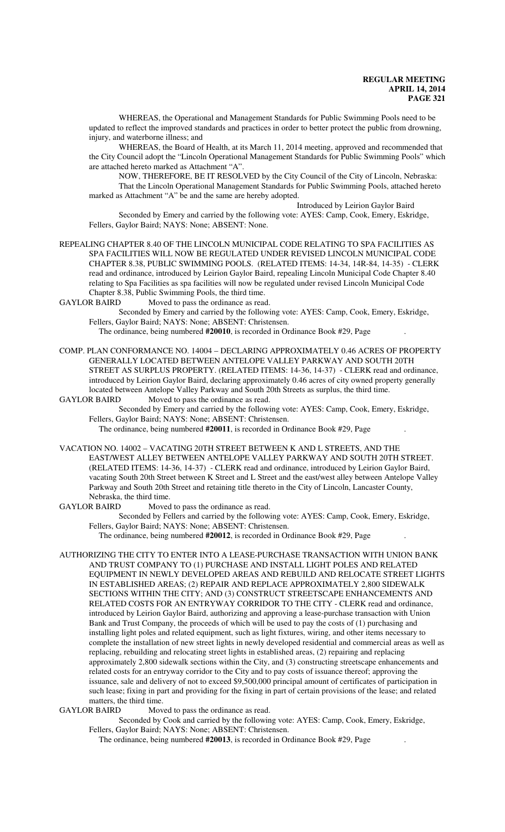WHEREAS, the Operational and Management Standards for Public Swimming Pools need to be updated to reflect the improved standards and practices in order to better protect the public from drowning, injury, and waterborne illness; and

WHEREAS, the Board of Health, at its March 11, 2014 meeting, approved and recommended that the City Council adopt the "Lincoln Operational Management Standards for Public Swimming Pools" which are attached hereto marked as Attachment "A".

NOW, THEREFORE, BE IT RESOLVED by the City Council of the City of Lincoln, Nebraska: That the Lincoln Operational Management Standards for Public Swimming Pools, attached hereto marked as Attachment "A" be and the same are hereby adopted.

Introduced by Leirion Gaylor Baird Seconded by Emery and carried by the following vote: AYES: Camp, Cook, Emery, Eskridge, Fellers, Gaylor Baird; NAYS: None; ABSENT: None.

REPEALING CHAPTER 8.40 OF THE LINCOLN MUNICIPAL CODE RELATING TO SPA FACILITIES AS SPA FACILITIES WILL NOW BE REGULATED UNDER REVISED LINCOLN MUNICIPAL CODE CHAPTER 8.38, PUBLIC SWIMMING POOLS. (RELATED ITEMS: 14-34, 14R-84, 14-35) - CLERK read and ordinance, introduced by Leirion Gaylor Baird, repealing Lincoln Municipal Code Chapter 8.40 relating to Spa Facilities as spa facilities will now be regulated under revised Lincoln Municipal Code Chapter 8.38, Public Swimming Pools, the third time.<br>GAYLOR BAIRD Moved to pass the ordinance as read

Moved to pass the ordinance as read.

Seconded by Emery and carried by the following vote: AYES: Camp, Cook, Emery, Eskridge, Fellers, Gaylor Baird; NAYS: None; ABSENT: Christensen.

The ordinance, being numbered **#20010**, is recorded in Ordinance Book #29, Page .

COMP. PLAN CONFORMANCE NO. 14004 – DECLARING APPROXIMATELY 0.46 ACRES OF PROPERTY GENERALLY LOCATED BETWEEN ANTELOPE VALLEY PARKWAY AND SOUTH 20TH STREET AS SURPLUS PROPERTY. (RELATED ITEMS: 14-36, 14-37) - CLERK read and ordinance, introduced by Leirion Gaylor Baird, declaring approximately 0.46 acres of city owned property generally located between Antelope Valley Parkway and South 20th Streets as surplus, the third time.<br>GAYLOR BAIRD Moved to pass the ordinance as read.

Moved to pass the ordinance as read.

Seconded by Emery and carried by the following vote: AYES: Camp, Cook, Emery, Eskridge, Fellers, Gaylor Baird; NAYS: None; ABSENT: Christensen.

The ordinance, being numbered **#20011**, is recorded in Ordinance Book #29, Page .

VACATION NO. 14002 – VACATING 20TH STREET BETWEEN K AND L STREETS, AND THE EAST/WEST ALLEY BETWEEN ANTELOPE VALLEY PARKWAY AND SOUTH 20TH STREET. (RELATED ITEMS: 14-36, 14-37) - CLERK read and ordinance, introduced by Leirion Gaylor Baird, vacating South 20th Street between K Street and L Street and the east/west alley between Antelope Valley Parkway and South 20th Street and retaining title thereto in the City of Lincoln, Lancaster County, Nebraska, the third time.

GAYLOR BAIRD Moved to pass the ordinance as read.

Seconded by Fellers and carried by the following vote: AYES: Camp, Cook, Emery, Eskridge, Fellers, Gaylor Baird; NAYS: None; ABSENT: Christensen.

The ordinance, being numbered **#20012**, is recorded in Ordinance Book #29, Page .

AUTHORIZING THE CITY TO ENTER INTO A LEASE-PURCHASE TRANSACTION WITH UNION BANK AND TRUST COMPANY TO (1) PURCHASE AND INSTALL LIGHT POLES AND RELATED EQUIPMENT IN NEWLY DEVELOPED AREAS AND REBUILD AND RELOCATE STREET LIGHTS IN ESTABLISHED AREAS; (2) REPAIR AND REPLACE APPROXIMATELY 2,800 SIDEWALK SECTIONS WITHIN THE CITY; AND (3) CONSTRUCT STREETSCAPE ENHANCEMENTS AND RELATED COSTS FOR AN ENTRYWAY CORRIDOR TO THE CITY - CLERK read and ordinance, introduced by Leirion Gaylor Baird, authorizing and approving a lease-purchase transaction with Union Bank and Trust Company, the proceeds of which will be used to pay the costs of (1) purchasing and installing light poles and related equipment, such as light fixtures, wiring, and other items necessary to complete the installation of new street lights in newly developed residential and commercial areas as well as replacing, rebuilding and relocating street lights in established areas, (2) repairing and replacing approximately 2,800 sidewalk sections within the City, and (3) constructing streetscape enhancements and related costs for an entryway corridor to the City and to pay costs of issuance thereof; approving the issuance, sale and delivery of not to exceed \$9,500,000 principal amount of certificates of participation in such lease; fixing in part and providing for the fixing in part of certain provisions of the lease; and related matters, the third time.<br>GAYLOR BAIRD Move

Moved to pass the ordinance as read.

Seconded by Cook and carried by the following vote: AYES: Camp, Cook, Emery, Eskridge, Fellers, Gaylor Baird; NAYS: None; ABSENT: Christensen.

The ordinance, being numbered **#20013**, is recorded in Ordinance Book #29, Page .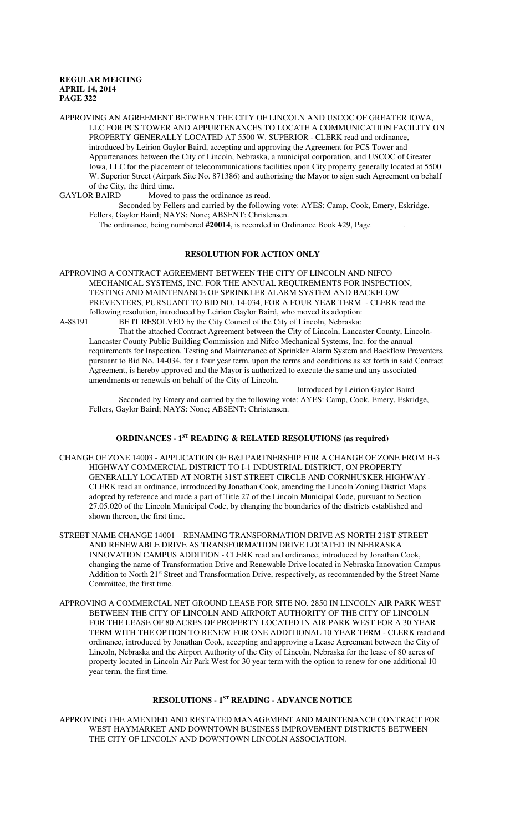APPROVING AN AGREEMENT BETWEEN THE CITY OF LINCOLN AND USCOC OF GREATER IOWA, LLC FOR PCS TOWER AND APPURTENANCES TO LOCATE A COMMUNICATION FACILITY ON PROPERTY GENERALLY LOCATED AT 5500 W. SUPERIOR - CLERK read and ordinance, introduced by Leirion Gaylor Baird, accepting and approving the Agreement for PCS Tower and Appurtenances between the City of Lincoln, Nebraska, a municipal corporation, and USCOC of Greater Iowa, LLC for the placement of telecommunications facilities upon City property generally located at 5500 W. Superior Street (Airpark Site No. 871386) and authorizing the Mayor to sign such Agreement on behalf of the City, the third time.<br>GAYLOR BAIRD Moved

Moved to pass the ordinance as read.

Seconded by Fellers and carried by the following vote: AYES: Camp, Cook, Emery, Eskridge, Fellers, Gaylor Baird; NAYS: None; ABSENT: Christensen.

The ordinance, being numbered **#20014**, is recorded in Ordinance Book #29, Page .

# **RESOLUTION FOR ACTION ONLY**

APPROVING A CONTRACT AGREEMENT BETWEEN THE CITY OF LINCOLN AND NIFCO MECHANICAL SYSTEMS, INC. FOR THE ANNUAL REQUIREMENTS FOR INSPECTION, TESTING AND MAINTENANCE OF SPRINKLER ALARM SYSTEM AND BACKFLOW PREVENTERS, PURSUANT TO BID NO. 14-034, FOR A FOUR YEAR TERM - CLERK read the following resolution, introduced by Leirion Gaylor Baird, who moved its adoption: BE IT RESOLVED by the City Council of the City of Lincoln, Nebraska:

That the attached Contract Agreement between the City of Lincoln, Lancaster County, Lincoln-Lancaster County Public Building Commission and Nifco Mechanical Systems, Inc. for the annual requirements for Inspection, Testing and Maintenance of Sprinkler Alarm System and Backflow Preventers, pursuant to Bid No. 14-034, for a four year term, upon the terms and conditions as set forth in said Contract Agreement, is hereby approved and the Mayor is authorized to execute the same and any associated amendments or renewals on behalf of the City of Lincoln.

Introduced by Leirion Gaylor Baird Seconded by Emery and carried by the following vote: AYES: Camp, Cook, Emery, Eskridge, Fellers, Gaylor Baird; NAYS: None; ABSENT: Christensen.

## **ORDINANCES - 1ST READING & RELATED RESOLUTIONS (as required)**

- CHANGE OF ZONE 14003 APPLICATION OF B&J PARTNERSHIP FOR A CHANGE OF ZONE FROM H-3 HIGHWAY COMMERCIAL DISTRICT TO I-1 INDUSTRIAL DISTRICT, ON PROPERTY GENERALLY LOCATED AT NORTH 31ST STREET CIRCLE AND CORNHUSKER HIGHWAY - CLERK read an ordinance, introduced by Jonathan Cook, amending the Lincoln Zoning District Maps adopted by reference and made a part of Title 27 of the Lincoln Municipal Code, pursuant to Section 27.05.020 of the Lincoln Municipal Code, by changing the boundaries of the districts established and shown thereon, the first time.
- STREET NAME CHANGE 14001 RENAMING TRANSFORMATION DRIVE AS NORTH 21ST STREET AND RENEWABLE DRIVE AS TRANSFORMATION DRIVE LOCATED IN NEBRASKA INNOVATION CAMPUS ADDITION - CLERK read and ordinance, introduced by Jonathan Cook, changing the name of Transformation Drive and Renewable Drive located in Nebraska Innovation Campus Addition to North 21<sup>st</sup> Street and Transformation Drive, respectively, as recommended by the Street Name Committee, the first time.
- APPROVING A COMMERCIAL NET GROUND LEASE FOR SITE NO. 2850 IN LINCOLN AIR PARK WEST BETWEEN THE CITY OF LINCOLN AND AIRPORT AUTHORITY OF THE CITY OF LINCOLN FOR THE LEASE OF 80 ACRES OF PROPERTY LOCATED IN AIR PARK WEST FOR A 30 YEAR TERM WITH THE OPTION TO RENEW FOR ONE ADDITIONAL 10 YEAR TERM - CLERK read and ordinance, introduced by Jonathan Cook, accepting and approving a Lease Agreement between the City of Lincoln, Nebraska and the Airport Authority of the City of Lincoln, Nebraska for the lease of 80 acres of property located in Lincoln Air Park West for 30 year term with the option to renew for one additional 10 year term, the first time.

# **RESOLUTIONS - 1ST READING - ADVANCE NOTICE**

APPROVING THE AMENDED AND RESTATED MANAGEMENT AND MAINTENANCE CONTRACT FOR WEST HAYMARKET AND DOWNTOWN BUSINESS IMPROVEMENT DISTRICTS BETWEEN THE CITY OF LINCOLN AND DOWNTOWN LINCOLN ASSOCIATION.